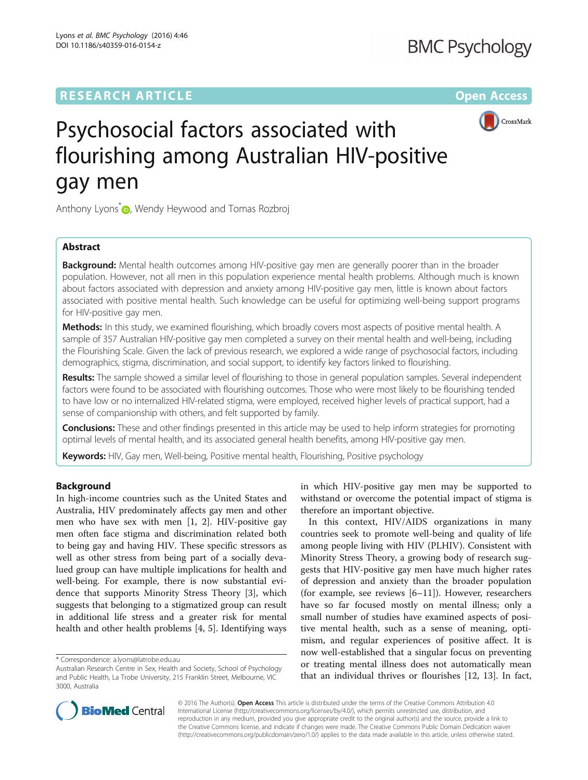## **RESEARCH ARTICLE External Structure Community Community Community Community Community Community Community Community**



# Psychosocial factors associated with flourishing among Australian HIV-positive gay men

Anthony Lyons<sup>\*</sup> <sub>(b</sub>)[,](http://orcid.org/0000-0001-9569-6909) Wendy Heywood and Tomas Rozbroj

## Abstract

**Background:** Mental health outcomes among HIV-positive gay men are generally poorer than in the broader population. However, not all men in this population experience mental health problems. Although much is known about factors associated with depression and anxiety among HIV-positive gay men, little is known about factors associated with positive mental health. Such knowledge can be useful for optimizing well-being support programs for HIV-positive gay men.

Methods: In this study, we examined flourishing, which broadly covers most aspects of positive mental health. A sample of 357 Australian HIV-positive gay men completed a survey on their mental health and well-being, including the Flourishing Scale. Given the lack of previous research, we explored a wide range of psychosocial factors, including demographics, stigma, discrimination, and social support, to identify key factors linked to flourishing.

Results: The sample showed a similar level of flourishing to those in general population samples. Several independent factors were found to be associated with flourishing outcomes. Those who were most likely to be flourishing tended to have low or no internalized HIV-related stigma, were employed, received higher levels of practical support, had a sense of companionship with others, and felt supported by family.

**Conclusions:** These and other findings presented in this article may be used to help inform strategies for promoting optimal levels of mental health, and its associated general health benefits, among HIV-positive gay men.

Keywords: HIV, Gay men, Well-being, Positive mental health, Flourishing, Positive psychology

## Background

In high-income countries such as the United States and Australia, HIV predominately affects gay men and other men who have sex with men [[1, 2\]](#page-8-0). HIV-positive gay men often face stigma and discrimination related both to being gay and having HIV. These specific stressors as well as other stress from being part of a socially devalued group can have multiple implications for health and well-being. For example, there is now substantial evidence that supports Minority Stress Theory [\[3](#page-8-0)], which suggests that belonging to a stigmatized group can result in additional life stress and a greater risk for mental health and other health problems [[4](#page-8-0), [5\]](#page-8-0). Identifying ways

in which HIV-positive gay men may be supported to withstand or overcome the potential impact of stigma is therefore an important objective.

In this context, HIV/AIDS organizations in many countries seek to promote well-being and quality of life among people living with HIV (PLHIV). Consistent with Minority Stress Theory, a growing body of research suggests that HIV-positive gay men have much higher rates of depression and anxiety than the broader population (for example, see reviews [[6](#page-8-0)–[11](#page-8-0)]). However, researchers have so far focused mostly on mental illness; only a small number of studies have examined aspects of positive mental health, such as a sense of meaning, optimism, and regular experiences of positive affect. It is now well-established that a singular focus on preventing or treating mental illness does not automatically mean that an individual thrives or flourishes [[12](#page-8-0), [13](#page-8-0)]. In fact,



© 2016 The Author(s). Open Access This article is distributed under the terms of the Creative Commons Attribution 4.0 International License [\(http://creativecommons.org/licenses/by/4.0/](http://creativecommons.org/licenses/by/4.0/)), which permits unrestricted use, distribution, and reproduction in any medium, provided you give appropriate credit to the original author(s) and the source, provide a link to the Creative Commons license, and indicate if changes were made. The Creative Commons Public Domain Dedication waiver [\(http://creativecommons.org/publicdomain/zero/1.0/](http://creativecommons.org/publicdomain/zero/1.0/)) applies to the data made available in this article, unless otherwise stated.

<sup>\*</sup> Correspondence: [a.lyons@latrobe.edu.au](mailto:a.lyons@latrobe.edu.au)

Australian Research Centre in Sex, Health and Society, School of Psychology and Public Health, La Trobe University, 215 Franklin Street, Melbourne, VIC 3000, Australia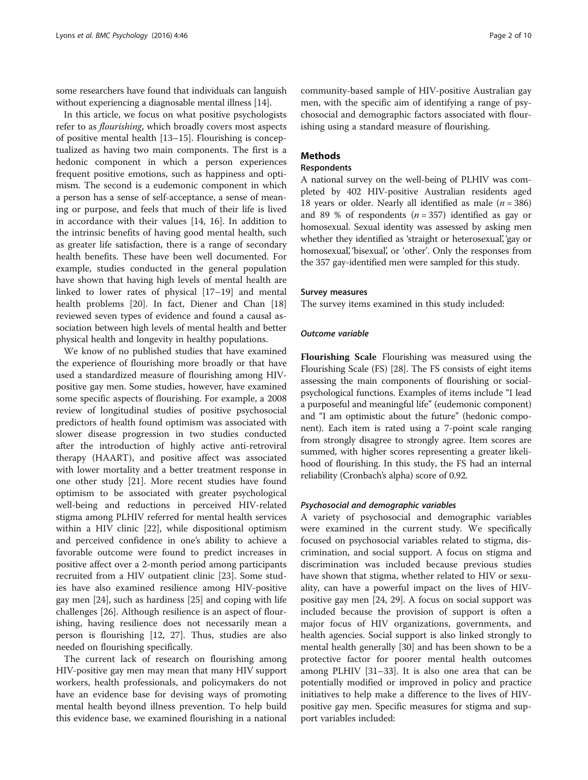some researchers have found that individuals can languish without experiencing a diagnosable mental illness [\[14\]](#page-8-0).

In this article, we focus on what positive psychologists refer to as *flourishing*, which broadly covers most aspects of positive mental health [\[13](#page-8-0)–[15\]](#page-8-0). Flourishing is conceptualized as having two main components. The first is a hedonic component in which a person experiences frequent positive emotions, such as happiness and optimism. The second is a eudemonic component in which a person has a sense of self-acceptance, a sense of meaning or purpose, and feels that much of their life is lived in accordance with their values [\[14](#page-8-0), [16](#page-8-0)]. In addition to the intrinsic benefits of having good mental health, such as greater life satisfaction, there is a range of secondary health benefits. These have been well documented. For example, studies conducted in the general population have shown that having high levels of mental health are linked to lower rates of physical [[17](#page-8-0)–[19\]](#page-8-0) and mental health problems [[20](#page-8-0)]. In fact, Diener and Chan [[18](#page-8-0)] reviewed seven types of evidence and found a causal association between high levels of mental health and better physical health and longevity in healthy populations.

We know of no published studies that have examined the experience of flourishing more broadly or that have used a standardized measure of flourishing among HIVpositive gay men. Some studies, however, have examined some specific aspects of flourishing. For example, a 2008 review of longitudinal studies of positive psychosocial predictors of health found optimism was associated with slower disease progression in two studies conducted after the introduction of highly active anti-retroviral therapy (HAART), and positive affect was associated with lower mortality and a better treatment response in one other study [[21\]](#page-8-0). More recent studies have found optimism to be associated with greater psychological well-being and reductions in perceived HIV-related stigma among PLHIV referred for mental health services within a HIV clinic [[22\]](#page-8-0), while dispositional optimism and perceived confidence in one's ability to achieve a favorable outcome were found to predict increases in positive affect over a 2-month period among participants recruited from a HIV outpatient clinic [\[23](#page-8-0)]. Some studies have also examined resilience among HIV-positive gay men [\[24](#page-8-0)], such as hardiness [\[25\]](#page-8-0) and coping with life challenges [[26\]](#page-8-0). Although resilience is an aspect of flourishing, having resilience does not necessarily mean a person is flourishing [[12, 27](#page-8-0)]. Thus, studies are also needed on flourishing specifically.

The current lack of research on flourishing among HIV-positive gay men may mean that many HIV support workers, health professionals, and policymakers do not have an evidence base for devising ways of promoting mental health beyond illness prevention. To help build this evidence base, we examined flourishing in a national community-based sample of HIV-positive Australian gay men, with the specific aim of identifying a range of psychosocial and demographic factors associated with flourishing using a standard measure of flourishing.

## Methods

## Respondents

A national survey on the well-being of PLHIV was completed by 402 HIV-positive Australian residents aged 18 years or older. Nearly all identified as male  $(n = 386)$ and 89 % of respondents  $(n = 357)$  identified as gay or homosexual. Sexual identity was assessed by asking men whether they identified as 'straight or heterosexual', 'gay or homosexual', 'bisexual', or 'other'. Only the responses from the 357 gay-identified men were sampled for this study.

#### Survey measures

The survey items examined in this study included:

## Outcome variable

Flourishing Scale Flourishing was measured using the Flourishing Scale (FS) [[28](#page-8-0)]. The FS consists of eight items assessing the main components of flourishing or socialpsychological functions. Examples of items include "I lead a purposeful and meaningful life" (eudemonic component) and "I am optimistic about the future" (hedonic component). Each item is rated using a 7-point scale ranging from strongly disagree to strongly agree. Item scores are summed, with higher scores representing a greater likelihood of flourishing. In this study, the FS had an internal reliability (Cronbach's alpha) score of 0.92.

## Psychosocial and demographic variables

A variety of psychosocial and demographic variables were examined in the current study. We specifically focused on psychosocial variables related to stigma, discrimination, and social support. A focus on stigma and discrimination was included because previous studies have shown that stigma, whether related to HIV or sexuality, can have a powerful impact on the lives of HIVpositive gay men [\[24](#page-8-0), [29](#page-8-0)]. A focus on social support was included because the provision of support is often a major focus of HIV organizations, governments, and health agencies. Social support is also linked strongly to mental health generally [\[30\]](#page-8-0) and has been shown to be a protective factor for poorer mental health outcomes among PLHIV [[31](#page-8-0)–[33\]](#page-8-0). It is also one area that can be potentially modified or improved in policy and practice initiatives to help make a difference to the lives of HIVpositive gay men. Specific measures for stigma and support variables included: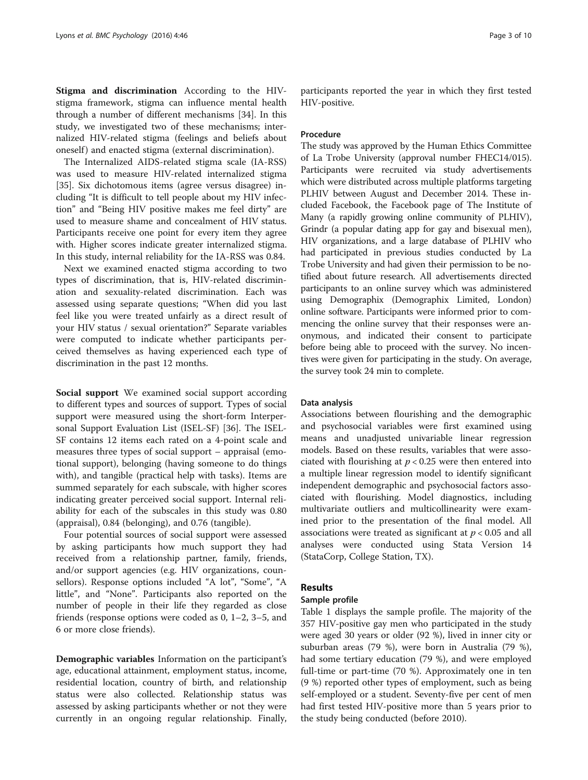Stigma and discrimination According to the HIVstigma framework, stigma can influence mental health through a number of different mechanisms [\[34](#page-8-0)]. In this study, we investigated two of these mechanisms; internalized HIV-related stigma (feelings and beliefs about oneself) and enacted stigma (external discrimination).

The Internalized AIDS-related stigma scale (IA-RSS) was used to measure HIV-related internalized stigma [[35\]](#page-8-0). Six dichotomous items (agree versus disagree) including "It is difficult to tell people about my HIV infection" and "Being HIV positive makes me feel dirty" are used to measure shame and concealment of HIV status. Participants receive one point for every item they agree with. Higher scores indicate greater internalized stigma. In this study, internal reliability for the IA-RSS was 0.84.

Next we examined enacted stigma according to two types of discrimination, that is, HIV-related discrimination and sexuality-related discrimination. Each was assessed using separate questions; "When did you last feel like you were treated unfairly as a direct result of your HIV status / sexual orientation?" Separate variables were computed to indicate whether participants perceived themselves as having experienced each type of discrimination in the past 12 months.

Social support We examined social support according to different types and sources of support. Types of social support were measured using the short-form Interpersonal Support Evaluation List (ISEL-SF) [\[36\]](#page-8-0). The ISEL-SF contains 12 items each rated on a 4-point scale and measures three types of social support – appraisal (emotional support), belonging (having someone to do things with), and tangible (practical help with tasks). Items are summed separately for each subscale, with higher scores indicating greater perceived social support. Internal reliability for each of the subscales in this study was 0.80 (appraisal), 0.84 (belonging), and 0.76 (tangible).

Four potential sources of social support were assessed by asking participants how much support they had received from a relationship partner, family, friends, and/or support agencies (e.g. HIV organizations, counsellors). Response options included "A lot", "Some", "A little", and "None". Participants also reported on the number of people in their life they regarded as close friends (response options were coded as 0, 1–2, 3–5, and 6 or more close friends).

Demographic variables Information on the participant's age, educational attainment, employment status, income, residential location, country of birth, and relationship status were also collected. Relationship status was assessed by asking participants whether or not they were currently in an ongoing regular relationship. Finally, participants reported the year in which they first tested HIV-positive.

### Procedure

The study was approved by the Human Ethics Committee of La Trobe University (approval number FHEC14/015). Participants were recruited via study advertisements which were distributed across multiple platforms targeting PLHIV between August and December 2014. These included Facebook, the Facebook page of The Institute of Many (a rapidly growing online community of PLHIV), Grindr (a popular dating app for gay and bisexual men), HIV organizations, and a large database of PLHIV who had participated in previous studies conducted by La Trobe University and had given their permission to be notified about future research. All advertisements directed participants to an online survey which was administered using Demographix (Demographix Limited, London) online software. Participants were informed prior to commencing the online survey that their responses were anonymous, and indicated their consent to participate before being able to proceed with the survey. No incentives were given for participating in the study. On average, the survey took 24 min to complete.

#### Data analysis

Associations between flourishing and the demographic and psychosocial variables were first examined using means and unadjusted univariable linear regression models. Based on these results, variables that were associated with flourishing at  $p < 0.25$  were then entered into a multiple linear regression model to identify significant independent demographic and psychosocial factors associated with flourishing. Model diagnostics, including multivariate outliers and multicollinearity were examined prior to the presentation of the final model. All associations were treated as significant at  $p < 0.05$  and all analyses were conducted using Stata Version 14 (StataCorp, College Station, TX).

## Results

## Sample profile

Table [1](#page-3-0) displays the sample profile. The majority of the 357 HIV-positive gay men who participated in the study were aged 30 years or older (92 %), lived in inner city or suburban areas (79 %), were born in Australia (79 %), had some tertiary education (79 %), and were employed full-time or part-time (70 %). Approximately one in ten (9 %) reported other types of employment, such as being self-employed or a student. Seventy-five per cent of men had first tested HIV-positive more than 5 years prior to the study being conducted (before 2010).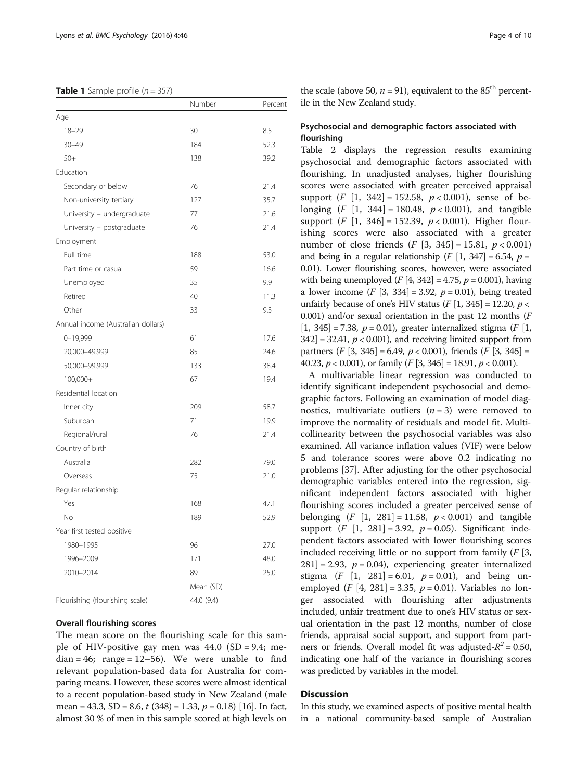#### <span id="page-3-0"></span>**Table 1** Sample profile  $(n = 357)$

|                                    | Number     | Percent |
|------------------------------------|------------|---------|
| Age                                |            |         |
| $18 - 29$                          | 30         | 8.5     |
| $30 - 49$                          | 184        | 52.3    |
| $50+$                              | 138        | 39.2    |
| Education                          |            |         |
| Secondary or below                 | 76         | 21.4    |
| Non-university tertiary            | 127        | 35.7    |
| University - undergraduate         | 77         | 21.6    |
| University - postgraduate          | 76         | 21.4    |
| Employment                         |            |         |
| Full time                          | 188        | 53.0    |
| Part time or casual                | 59         | 16.6    |
| Unemployed                         | 35         | 9.9     |
| Retired                            | 40         | 11.3    |
| Other                              | 33         | 9.3     |
| Annual income (Australian dollars) |            |         |
| 0-19,999                           | 61         | 17.6    |
| 20,000-49,999                      | 85         | 24.6    |
| 50,000-99,999                      | 133        | 38.4    |
| 100,000+                           | 67         | 19.4    |
| Residential location               |            |         |
| Inner city                         | 209        | 58.7    |
| Suburban                           | 71         | 19.9    |
| Regional/rural                     | 76         | 21.4    |
| Country of birth                   |            |         |
| Australia                          | 282        | 79.0    |
| Overseas                           | 75         | 21.0    |
| Regular relationship               |            |         |
| Yes                                | 168        | 47.1    |
| N <sub>o</sub>                     | 189        | 52.9    |
| Year first tested positive         |            |         |
| 1980-1995                          | 96         | 27.0    |
| 1996-2009                          | 171        | 48.0    |
| 2010-2014                          | 89         | 25.0    |
|                                    | Mean (SD)  |         |
| Flourishing (flourishing scale)    | 44.0 (9.4) |         |

#### Overall flourishing scores

The mean score on the flourishing scale for this sample of HIV-positive gay men was  $44.0$  (SD = 9.4; me $dian = 46$ ; range = 12–56). We were unable to find relevant population-based data for Australia for comparing means. However, these scores were almost identical to a recent population-based study in New Zealand (male mean = 43.3, SD = 8.6,  $t$  (348) = 1.33,  $p$  = 0.18) [\[16\]](#page-8-0). In fact, almost 30 % of men in this sample scored at high levels on

the scale (above 50,  $n = 91$ ), equivalent to the 85<sup>th</sup> percentile in the New Zealand study.

## Psychosocial and demographic factors associated with flourishing

Table [2](#page-4-0) displays the regression results examining psychosocial and demographic factors associated with flourishing. In unadjusted analyses, higher flourishing scores were associated with greater perceived appraisal support  $(F [1, 342] = 152.58, p < 0.001)$ , sense of belonging  $(F [1, 344] = 180.48, p < 0.001)$ , and tangible support  $(F [1, 346] = 152.39, p < 0.001)$ . Higher flourishing scores were also associated with a greater number of close friends (*F* [3, 345] = 15.81,  $p < 0.001$ ) and being in a regular relationship  $(F [1, 347] = 6.54, p =$ 0.01). Lower flourishing scores, however, were associated with being unemployed  $(F [4, 342] = 4.75, p = 0.001)$ , having a lower income  $(F [3, 334] = 3.92, p = 0.01)$ , being treated unfairly because of one's HIV status  $(F [1, 345] = 12.20, p <$ 0.001) and/or sexual orientation in the past 12 months (F [1, 345] = 7.38,  $p = 0.01$ ), greater internalized stigma (*F* [1,  $342$ ] = 32.41,  $p < 0.001$ ), and receiving limited support from partners  $(F [3, 345] = 6.49, p < 0.001)$ , friends  $(F [3, 345] =$ 40.23,  $p < 0.001$ ), or family (*F* [3, 345] = 18.91,  $p < 0.001$ ).

A multivariable linear regression was conducted to identify significant independent psychosocial and demographic factors. Following an examination of model diagnostics, multivariate outliers  $(n = 3)$  were removed to improve the normality of residuals and model fit. Multicollinearity between the psychosocial variables was also examined. All variance inflation values (VIF) were below 5 and tolerance scores were above 0.2 indicating no problems [\[37\]](#page-8-0). After adjusting for the other psychosocial demographic variables entered into the regression, significant independent factors associated with higher flourishing scores included a greater perceived sense of belonging (*F* [1, 281] = 11.58,  $p < 0.001$ ) and tangible support (*F*  $[1, 281] = 3.92, p = 0.05$ ). Significant independent factors associated with lower flourishing scores included receiving little or no support from family  $(F \mid 3)$ ,  $281$ ] = 2.93,  $p = 0.04$ ), experiencing greater internalized stigma (*F* [1, 281] = 6.01,  $p = 0.01$ ), and being unemployed (*F* [4, 281] = 3.35,  $p = 0.01$ ). Variables no longer associated with flourishing after adjustments included, unfair treatment due to one's HIV status or sexual orientation in the past 12 months, number of close friends, appraisal social support, and support from partners or friends. Overall model fit was adjusted- $R^2$  = 0.50, indicating one half of the variance in flourishing scores was predicted by variables in the model.

## **Discussion**

In this study, we examined aspects of positive mental health in a national community-based sample of Australian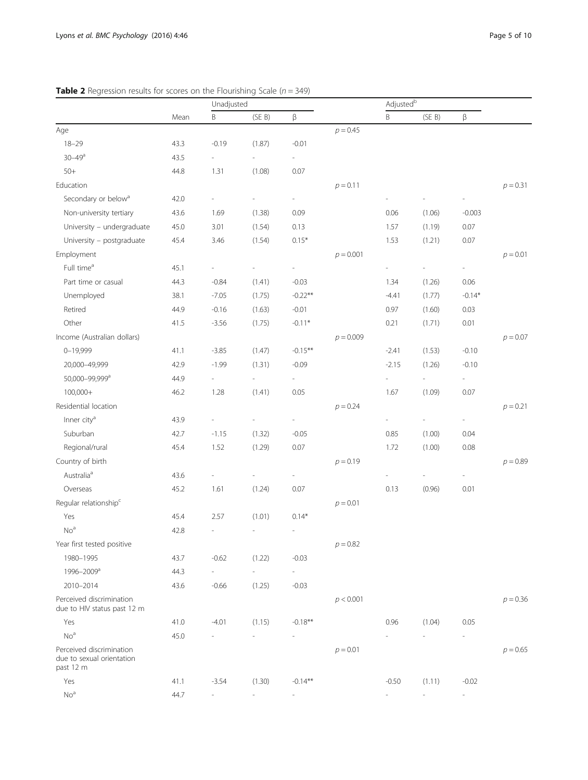<span id="page-4-0"></span>

|  |  | <b>Table 2</b> Regression results for scores on the Flourishing Scale ( $n = 349$ ) |
|--|--|-------------------------------------------------------------------------------------|
|  |  |                                                                                     |

|                                                                    |      | Unadjusted               |                          |                          | Adjusted <sup>b</sup> |                          |               |                          |            |
|--------------------------------------------------------------------|------|--------------------------|--------------------------|--------------------------|-----------------------|--------------------------|---------------|--------------------------|------------|
|                                                                    | Mean | B                        | (SEB)                    | β                        |                       | B                        | (SEB)         | $\beta$                  |            |
| Age                                                                |      |                          |                          |                          | $p = 0.45$            |                          |               |                          |            |
| $18 - 29$                                                          | 43.3 | $-0.19$                  | (1.87)                   | $-0.01$                  |                       |                          |               |                          |            |
| $30 - 49$ <sup>a</sup>                                             | 43.5 | $\overline{\phantom{a}}$ |                          |                          |                       |                          |               |                          |            |
| $50+$                                                              | 44.8 | 1.31                     | (1.08)                   | 0.07                     |                       |                          |               |                          |            |
| Education                                                          |      |                          |                          |                          | $p = 0.11$            |                          |               |                          | $p = 0.31$ |
| Secondary or below <sup>a</sup>                                    | 42.0 | $\overline{\phantom{a}}$ | $\overline{\phantom{a}}$ | $\overline{\phantom{a}}$ |                       |                          |               | $\overline{\phantom{a}}$ |            |
| Non-university tertiary                                            | 43.6 | 1.69                     | (1.38)                   | 0.09                     |                       | 0.06                     | (1.06)        | $-0.003$                 |            |
| University - undergraduate                                         | 45.0 | 3.01                     | (1.54)                   | 0.13                     |                       | 1.57                     | (1.19)        | 0.07                     |            |
| University - postgraduate                                          | 45.4 | 3.46                     | (1.54)                   | $0.15*$                  |                       | 1.53                     | (1.21)        | 0.07                     |            |
| Employment                                                         |      |                          |                          |                          | $p = 0.001$           |                          |               |                          | $p = 0.01$ |
| Full time <sup>a</sup>                                             | 45.1 | $\overline{\phantom{a}}$ | $\overline{\phantom{a}}$ | $\frac{1}{2}$            |                       |                          |               | $\overline{\phantom{a}}$ |            |
| Part time or casual                                                | 44.3 | $-0.84$                  | (1.41)                   | $-0.03$                  |                       | 1.34                     | (1.26)        | 0.06                     |            |
| Unemployed                                                         | 38.1 | $-7.05$                  | (1.75)                   | $-0.22**$                |                       | $-4.41$                  | (1.77)        | $-0.14*$                 |            |
| Retired                                                            | 44.9 | $-0.16$                  | (1.63)                   | $-0.01$                  |                       | 0.97                     | (1.60)        | 0.03                     |            |
| Other                                                              | 41.5 | $-3.56$                  | (1.75)                   | $-0.11*$                 |                       | 0.21                     | (1.71)        | 0.01                     |            |
| Income (Australian dollars)                                        |      |                          |                          |                          | $p = 0.009$           |                          |               |                          | $p = 0.07$ |
| $0 - 19,999$                                                       | 41.1 | $-3.85$                  | (1.47)                   | $-0.15***$               |                       | $-2.41$                  | (1.53)        | $-0.10$                  |            |
| 20,000-49,999                                                      | 42.9 | $-1.99$                  | (1.31)                   | $-0.09$                  |                       | $-2.15$                  | (1.26)        | $-0.10$                  |            |
| 50,000-99,999 <sup>a</sup>                                         | 44.9 | $\sim$                   | $\overline{\phantom{a}}$ | $\overline{\phantom{a}}$ |                       | $\overline{\phantom{a}}$ | $\frac{1}{2}$ | $\sim$                   |            |
| 100,000+                                                           | 46.2 | 1.28                     | (1.41)                   | 0.05                     |                       | 1.67                     | (1.09)        | 0.07                     |            |
| Residential location                                               |      |                          |                          |                          | $p = 0.24$            |                          |               |                          | $p = 0.21$ |
| Inner city <sup>a</sup>                                            | 43.9 | $\overline{\phantom{a}}$ | $\sim$                   | ä,                       |                       | $\overline{\phantom{a}}$ |               | $\overline{\phantom{a}}$ |            |
| Suburban                                                           | 42.7 | $-1.15$                  | (1.32)                   | $-0.05$                  |                       | 0.85                     | (1.00)        | 0.04                     |            |
| Regional/rural                                                     | 45.4 | 1.52                     | (1.29)                   | 0.07                     |                       | 1.72                     | (1.00)        | 0.08                     |            |
| Country of birth                                                   |      |                          |                          |                          | $p = 0.19$            |                          |               |                          | $p = 0.89$ |
| Australia <sup>a</sup>                                             | 43.6 | $\sim$                   |                          | ä,                       |                       |                          |               | $\overline{\phantom{a}}$ |            |
| Overseas                                                           | 45.2 | 1.61                     | (1.24)                   | 0.07                     |                       | 0.13                     | (0.96)        | 0.01                     |            |
| Regular relationship <sup>c</sup>                                  |      |                          |                          |                          | $p = 0.01$            |                          |               |                          |            |
| Yes                                                                | 45.4 | 2.57                     | (1.01)                   | $0.14*$                  |                       |                          |               |                          |            |
| No <sup>a</sup>                                                    | 42.8 | $\overline{\phantom{a}}$ |                          | L,                       |                       |                          |               |                          |            |
| Year first tested positive                                         |      |                          |                          |                          | $p = 0.82$            |                          |               |                          |            |
| 1980-1995                                                          | 43.7 | $-0.62$                  | (1.22)                   | $-0.03$                  |                       |                          |               |                          |            |
| 1996-2009 <sup>a</sup>                                             | 44.3 | $\overline{\phantom{a}}$ | $\overline{\phantom{a}}$ | $\overline{\phantom{a}}$ |                       |                          |               |                          |            |
| 2010-2014                                                          | 43.6 | $-0.66$                  | (1.25)                   | $-0.03$                  |                       |                          |               |                          |            |
| Perceived discrimination<br>due to HIV status past 12 m            |      |                          |                          |                          | p < 0.001             |                          |               |                          | $p = 0.36$ |
| Yes                                                                | 41.0 | $-4.01$                  | (1.15)                   | $-0.18**$                |                       | 0.96                     | (1.04)        | 0.05                     |            |
| No <sup>a</sup>                                                    | 45.0 |                          |                          |                          |                       |                          |               | $\overline{a}$           |            |
| Perceived discrimination<br>due to sexual orientation<br>past 12 m |      |                          |                          |                          | $p = 0.01$            |                          |               |                          | $p = 0.65$ |
| Yes                                                                | 41.1 | $-3.54$                  | (1.30)                   | $-0.14***$               |                       | $-0.50$                  | (1.11)        | $-0.02$                  |            |
| No <sup>a</sup>                                                    | 44.7 | $\overline{\phantom{a}}$ |                          |                          |                       | $\frac{1}{2}$            |               | $\overline{\phantom{a}}$ |            |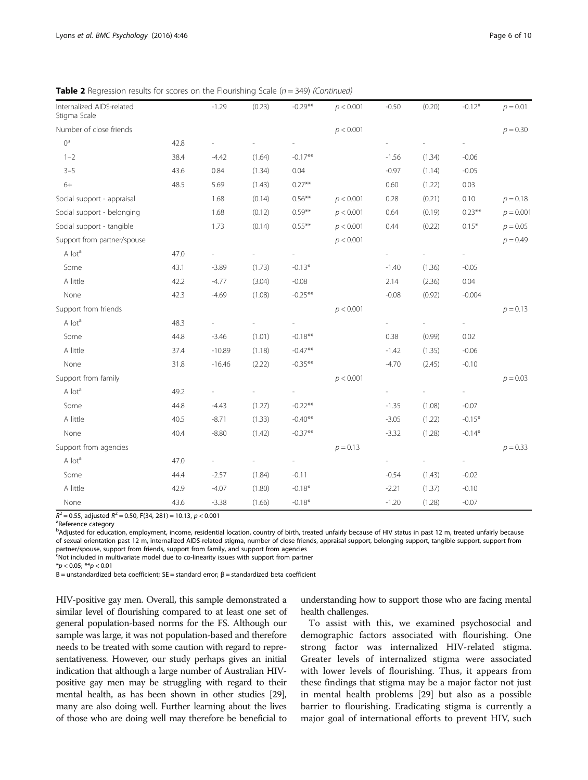**Table 2** Regression results for scores on the Flourishing Scale ( $n = 349$ ) (Continued)

| Internalized AIDS-related<br>Stigma Scale |      | $-1.29$                  | (0.23)                   | $-0.29**$  | p < 0.001  | $-0.50$                  | (0.20) | $-0.12*$                 | $p = 0.01$  |
|-------------------------------------------|------|--------------------------|--------------------------|------------|------------|--------------------------|--------|--------------------------|-------------|
| Number of close friends                   |      |                          |                          |            | p < 0.001  |                          |        |                          | $p = 0.30$  |
| $0^a$                                     | 42.8 |                          |                          |            |            |                          |        |                          |             |
| $1 - 2$                                   | 38.4 | $-4.42$                  | (1.64)                   | $-0.17**$  |            | $-1.56$                  | (1.34) | $-0.06$                  |             |
| $3 - 5$                                   | 43.6 | 0.84                     | (1.34)                   | 0.04       |            | $-0.97$                  | (1.14) | $-0.05$                  |             |
| $6+$                                      | 48.5 | 5.69                     | (1.43)                   | $0.27**$   |            | 0.60                     | (1.22) | 0.03                     |             |
| Social support - appraisal                |      | 1.68                     | (0.14)                   | $0.56***$  | p < 0.001  | 0.28                     | (0.21) | 0.10                     | $p = 0.18$  |
| Social support - belonging                |      | 1.68                     | (0.12)                   | $0.59***$  | p < 0.001  | 0.64                     | (0.19) | $0.23***$                | $p = 0.001$ |
| Social support - tangible                 |      | 1.73                     | (0.14)                   | $0.55***$  | p < 0.001  | 0.44                     | (0.22) | $0.15*$                  | $p = 0.05$  |
| Support from partner/spouse               |      |                          |                          |            | p < 0.001  |                          |        |                          | $p = 0.49$  |
| A lot <sup>a</sup>                        | 47.0 |                          |                          |            |            |                          |        | $\overline{\phantom{a}}$ |             |
| Some                                      | 43.1 | $-3.89$                  | (1.73)                   | $-0.13*$   |            | $-1.40$                  | (1.36) | $-0.05$                  |             |
| A little                                  | 42.2 | $-4.77$                  | (3.04)                   | $-0.08$    |            | 2.14                     | (2.36) | 0.04                     |             |
| None                                      | 42.3 | $-4.69$                  | (1.08)                   | $-0.25**$  |            | $-0.08$                  | (0.92) | $-0.004$                 |             |
| Support from friends                      |      |                          |                          |            | p < 0.001  |                          |        |                          | $p = 0.13$  |
| A lot <sup>a</sup>                        | 48.3 |                          |                          |            |            |                          |        | ä,                       |             |
| Some                                      | 44.8 | $-3.46$                  | (1.01)                   | $-0.18**$  |            | 0.38                     | (0.99) | 0.02                     |             |
| A little                                  | 37.4 | $-10.89$                 | (1.18)                   | $-0.47**$  |            | $-1.42$                  | (1.35) | $-0.06$                  |             |
| None                                      | 31.8 | $-16.46$                 | (2.22)                   | $-0.35***$ |            | $-4.70$                  | (2.45) | $-0.10$                  |             |
| Support from family                       |      |                          |                          |            | p < 0.001  |                          |        |                          | $p = 0.03$  |
| $A$ lot <sup>a</sup>                      | 49.2 | $\overline{\phantom{a}}$ | $\overline{\phantom{a}}$ |            |            | $\overline{\phantom{a}}$ | L,     | $\frac{1}{2}$            |             |
| Some                                      | 44.8 | $-4.43$                  | (1.27)                   | $-0.22***$ |            | $-1.35$                  | (1.08) | $-0.07$                  |             |
| A little                                  | 40.5 | $-8.71$                  | (1.33)                   | $-0.40**$  |            | $-3.05$                  | (1.22) | $-0.15*$                 |             |
| None                                      | 40.4 | $-8.80$                  | (1.42)                   | $-0.37**$  |            | $-3.32$                  | (1.28) | $-0.14*$                 |             |
| Support from agencies                     |      |                          |                          |            | $p = 0.13$ |                          |        |                          | $p = 0.33$  |
| A lot <sup>a</sup>                        | 47.0 |                          |                          |            |            |                          |        | $\frac{1}{2}$            |             |
| Some                                      | 44.4 | $-2.57$                  | (1.84)                   | $-0.11$    |            | $-0.54$                  | (1.43) | $-0.02$                  |             |
| A little                                  | 42.9 | $-4.07$                  | (1.80)                   | $-0.18*$   |            | $-2.21$                  | (1.37) | $-0.10$                  |             |
| None                                      | 43.6 | $-3.38$                  | (1.66)                   | $-0.18*$   |            | $-1.20$                  | (1.28) | $-0.07$                  |             |

 $R^2$  = 0.55, adjusted  $R^2$  = 0.50, F(34, 281) = 10.13, p < 0.001

<sup>a</sup>Reference category

<sup>b</sup>Adjusted for education, employment, income, residential location, country of birth, treated unfairly because of HIV status in past 12 m, treated unfairly because of sexual orientation past 12 m, internalized AIDS-related stigma, number of close friends, appraisal support, belonging support, tangible support, support from partner/spouse, support from friends, support from family, and support from agencies

<sup>c</sup>Not included in multivariate model due to co-linearity issues with support from partner

 $*p < 0.05; **p < 0.01$ 

 $B$  = unstandardized beta coefficient; SE = standard error;  $β$  = standardized beta coefficient

HIV-positive gay men. Overall, this sample demonstrated a similar level of flourishing compared to at least one set of general population-based norms for the FS. Although our sample was large, it was not population-based and therefore needs to be treated with some caution with regard to representativeness. However, our study perhaps gives an initial indication that although a large number of Australian HIVpositive gay men may be struggling with regard to their mental health, as has been shown in other studies [\[29](#page-8-0)], many are also doing well. Further learning about the lives of those who are doing well may therefore be beneficial to

understanding how to support those who are facing mental health challenges.

To assist with this, we examined psychosocial and demographic factors associated with flourishing. One strong factor was internalized HIV-related stigma. Greater levels of internalized stigma were associated with lower levels of flourishing. Thus, it appears from these findings that stigma may be a major factor not just in mental health problems [[29](#page-8-0)] but also as a possible barrier to flourishing. Eradicating stigma is currently a major goal of international efforts to prevent HIV, such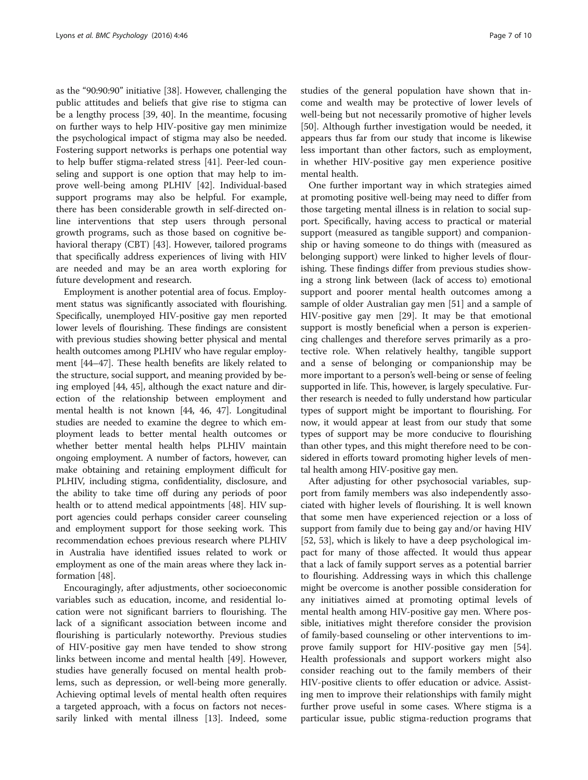as the "90:90:90" initiative [\[38\]](#page-8-0). However, challenging the public attitudes and beliefs that give rise to stigma can be a lengthy process [[39, 40\]](#page-8-0). In the meantime, focusing on further ways to help HIV-positive gay men minimize the psychological impact of stigma may also be needed. Fostering support networks is perhaps one potential way to help buffer stigma-related stress [\[41\]](#page-8-0). Peer-led counseling and support is one option that may help to improve well-being among PLHIV [[42](#page-8-0)]. Individual-based support programs may also be helpful. For example, there has been considerable growth in self-directed online interventions that step users through personal growth programs, such as those based on cognitive behavioral therapy (CBT) [[43\]](#page-8-0). However, tailored programs that specifically address experiences of living with HIV are needed and may be an area worth exploring for future development and research.

Employment is another potential area of focus. Employment status was significantly associated with flourishing. Specifically, unemployed HIV-positive gay men reported lower levels of flourishing. These findings are consistent with previous studies showing better physical and mental health outcomes among PLHIV who have regular employment [[44](#page-8-0)–[47\]](#page-9-0). These health benefits are likely related to the structure, social support, and meaning provided by being employed [\[44](#page-8-0), [45](#page-9-0)], although the exact nature and direction of the relationship between employment and mental health is not known [\[44](#page-8-0), [46](#page-9-0), [47](#page-9-0)]. Longitudinal studies are needed to examine the degree to which employment leads to better mental health outcomes or whether better mental health helps PLHIV maintain ongoing employment. A number of factors, however, can make obtaining and retaining employment difficult for PLHIV, including stigma, confidentiality, disclosure, and the ability to take time off during any periods of poor health or to attend medical appointments [\[48\]](#page-9-0). HIV support agencies could perhaps consider career counseling and employment support for those seeking work. This recommendation echoes previous research where PLHIV in Australia have identified issues related to work or employment as one of the main areas where they lack information [\[48\]](#page-9-0).

Encouragingly, after adjustments, other socioeconomic variables such as education, income, and residential location were not significant barriers to flourishing. The lack of a significant association between income and flourishing is particularly noteworthy. Previous studies of HIV-positive gay men have tended to show strong links between income and mental health [[49](#page-9-0)]. However, studies have generally focused on mental health problems, such as depression, or well-being more generally. Achieving optimal levels of mental health often requires a targeted approach, with a focus on factors not necessarily linked with mental illness [[13](#page-8-0)]. Indeed, some studies of the general population have shown that income and wealth may be protective of lower levels of well-being but not necessarily promotive of higher levels [[50\]](#page-9-0). Although further investigation would be needed, it appears thus far from our study that income is likewise less important than other factors, such as employment, in whether HIV-positive gay men experience positive mental health.

One further important way in which strategies aimed at promoting positive well-being may need to differ from those targeting mental illness is in relation to social support. Specifically, having access to practical or material support (measured as tangible support) and companionship or having someone to do things with (measured as belonging support) were linked to higher levels of flourishing. These findings differ from previous studies showing a strong link between (lack of access to) emotional support and poorer mental health outcomes among a sample of older Australian gay men [\[51](#page-9-0)] and a sample of HIV-positive gay men [\[29](#page-8-0)]. It may be that emotional support is mostly beneficial when a person is experiencing challenges and therefore serves primarily as a protective role. When relatively healthy, tangible support and a sense of belonging or companionship may be more important to a person's well-being or sense of feeling supported in life. This, however, is largely speculative. Further research is needed to fully understand how particular types of support might be important to flourishing. For now, it would appear at least from our study that some types of support may be more conducive to flourishing than other types, and this might therefore need to be considered in efforts toward promoting higher levels of mental health among HIV-positive gay men.

After adjusting for other psychosocial variables, support from family members was also independently associated with higher levels of flourishing. It is well known that some men have experienced rejection or a loss of support from family due to being gay and/or having HIV [[52, 53\]](#page-9-0), which is likely to have a deep psychological impact for many of those affected. It would thus appear that a lack of family support serves as a potential barrier to flourishing. Addressing ways in which this challenge might be overcome is another possible consideration for any initiatives aimed at promoting optimal levels of mental health among HIV-positive gay men. Where possible, initiatives might therefore consider the provision of family-based counseling or other interventions to improve family support for HIV-positive gay men [\[54](#page-9-0)]. Health professionals and support workers might also consider reaching out to the family members of their HIV-positive clients to offer education or advice. Assisting men to improve their relationships with family might further prove useful in some cases. Where stigma is a particular issue, public stigma-reduction programs that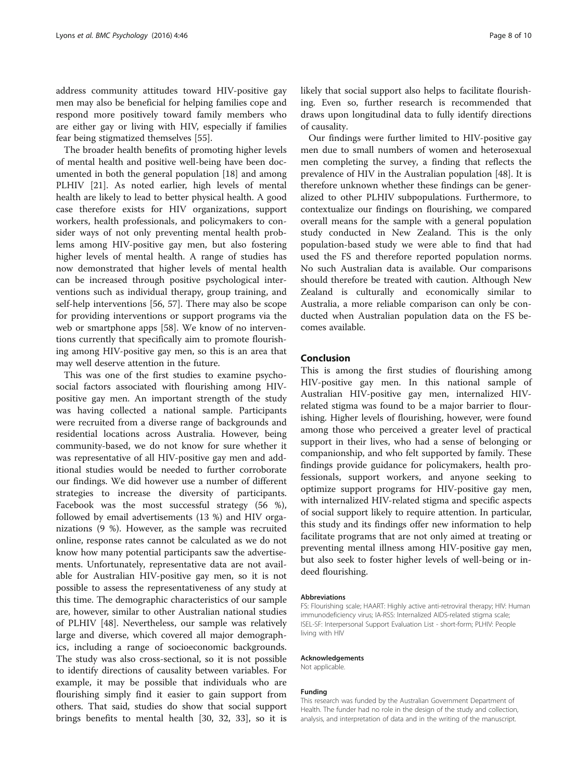address community attitudes toward HIV-positive gay men may also be beneficial for helping families cope and respond more positively toward family members who are either gay or living with HIV, especially if families fear being stigmatized themselves [\[55\]](#page-9-0).

The broader health benefits of promoting higher levels of mental health and positive well-being have been documented in both the general population [\[18](#page-8-0)] and among PLHIV [[21](#page-8-0)]. As noted earlier, high levels of mental health are likely to lead to better physical health. A good case therefore exists for HIV organizations, support workers, health professionals, and policymakers to consider ways of not only preventing mental health problems among HIV-positive gay men, but also fostering higher levels of mental health. A range of studies has now demonstrated that higher levels of mental health can be increased through positive psychological interventions such as individual therapy, group training, and self-help interventions [[56, 57\]](#page-9-0). There may also be scope for providing interventions or support programs via the web or smartphone apps [[58\]](#page-9-0). We know of no interventions currently that specifically aim to promote flourishing among HIV-positive gay men, so this is an area that may well deserve attention in the future.

This was one of the first studies to examine psychosocial factors associated with flourishing among HIVpositive gay men. An important strength of the study was having collected a national sample. Participants were recruited from a diverse range of backgrounds and residential locations across Australia. However, being community-based, we do not know for sure whether it was representative of all HIV-positive gay men and additional studies would be needed to further corroborate our findings. We did however use a number of different strategies to increase the diversity of participants. Facebook was the most successful strategy (56 %), followed by email advertisements (13 %) and HIV organizations (9 %). However, as the sample was recruited online, response rates cannot be calculated as we do not know how many potential participants saw the advertisements. Unfortunately, representative data are not available for Australian HIV-positive gay men, so it is not possible to assess the representativeness of any study at this time. The demographic characteristics of our sample are, however, similar to other Australian national studies of PLHIV [\[48\]](#page-9-0). Nevertheless, our sample was relatively large and diverse, which covered all major demographics, including a range of socioeconomic backgrounds. The study was also cross-sectional, so it is not possible to identify directions of causality between variables. For example, it may be possible that individuals who are flourishing simply find it easier to gain support from others. That said, studies do show that social support brings benefits to mental health [\[30](#page-8-0), [32](#page-8-0), [33\]](#page-8-0), so it is likely that social support also helps to facilitate flourishing. Even so, further research is recommended that draws upon longitudinal data to fully identify directions of causality.

Our findings were further limited to HIV-positive gay men due to small numbers of women and heterosexual men completing the survey, a finding that reflects the prevalence of HIV in the Australian population [[48\]](#page-9-0). It is therefore unknown whether these findings can be generalized to other PLHIV subpopulations. Furthermore, to contextualize our findings on flourishing, we compared overall means for the sample with a general population study conducted in New Zealand. This is the only population-based study we were able to find that had used the FS and therefore reported population norms. No such Australian data is available. Our comparisons should therefore be treated with caution. Although New Zealand is culturally and economically similar to Australia, a more reliable comparison can only be conducted when Australian population data on the FS becomes available.

### Conclusion

This is among the first studies of flourishing among HIV-positive gay men. In this national sample of Australian HIV-positive gay men, internalized HIVrelated stigma was found to be a major barrier to flourishing. Higher levels of flourishing, however, were found among those who perceived a greater level of practical support in their lives, who had a sense of belonging or companionship, and who felt supported by family. These findings provide guidance for policymakers, health professionals, support workers, and anyone seeking to optimize support programs for HIV-positive gay men, with internalized HIV-related stigma and specific aspects of social support likely to require attention. In particular, this study and its findings offer new information to help facilitate programs that are not only aimed at treating or preventing mental illness among HIV-positive gay men, but also seek to foster higher levels of well-being or indeed flourishing.

#### Abbreviations

FS: Flourishing scale; HAART: Highly active anti-retroviral therapy; HIV: Human immunodeficiency virus; IA-RSS: Internalized AIDS-related stigma scale; ISEL-SF: Interpersonal Support Evaluation List - short-form; PLHIV: People living with HIV

#### Acknowledgements

Not applicable.

#### Funding

This research was funded by the Australian Government Department of Health. The funder had no role in the design of the study and collection, analysis, and interpretation of data and in the writing of the manuscript.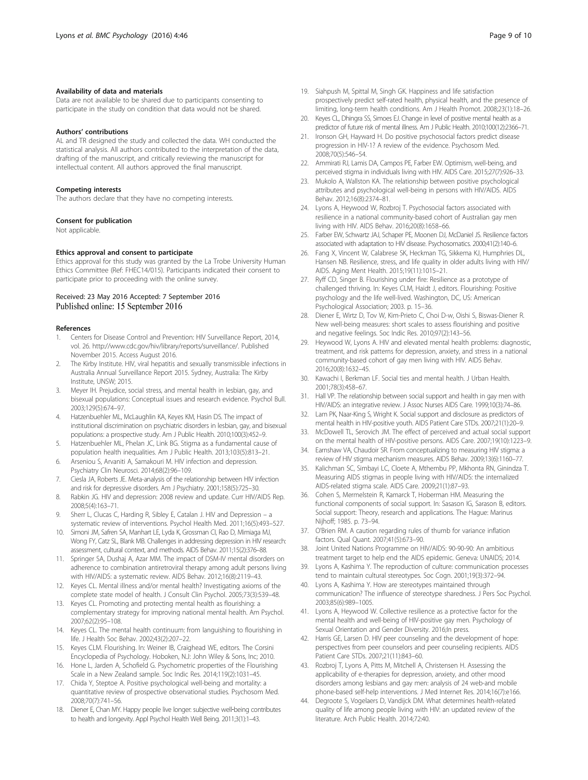#### <span id="page-8-0"></span>Availability of data and materials

Data are not available to be shared due to participants consenting to participate in the study on condition that data would not be shared.

#### Authors' contributions

AL and TR designed the study and collected the data. WH conducted the statistical analysis. All authors contributed to the interpretation of the data, drafting of the manuscript, and critically reviewing the manuscript for intellectual content. All authors approved the final manuscript.

#### Competing interests

The authors declare that they have no competing interests.

#### Consent for publication

Not applicable.

#### Ethics approval and consent to participate

Ethics approval for this study was granted by the La Trobe University Human Ethics Committee (Ref: FHEC14/015). Participants indicated their consent to participate prior to proceeding with the online survey.

## Received: 23 May 2016 Accepted: 7 September 2016 Published online: 15 September 2016

#### References

- 1. Centers for Disease Control and Prevention: HIV Surveillance Report, 2014, vol. 26.<http://www.cdc.gov/hiv/library/reports/surveillance/>. Published November 2015. Access August 2016.
- 2. The Kirby Institute. HIV, viral hepatitis and sexually transmissible infections in Australia Annual Surveillance Report 2015. Sydney, Australia: The Kirby Institute, UNSW; 2015.
- Meyer IH. Prejudice, social stress, and mental health in lesbian, gay, and bisexual populations: Conceptual issues and research evidence. Psychol Bull. 2003;129(5):674–97.
- 4. Hatzenbuehler ML, McLaughlin KA, Keyes KM, Hasin DS. The impact of institutional discrimination on psychiatric disorders in lesbian, gay, and bisexual populations: a prospective study. Am J Public Health. 2010;100(3):452–9.
- 5. Hatzenbuehler ML, Phelan JC, Link BG. Stigma as a fundamental cause of population health inequalities. Am J Public Health. 2013;103(5):813–21.
- 6. Arseniou S, Arvaniti A, Samakouri M. HIV infection and depression. Psychiatry Clin Neurosci. 2014;68(2):96–109.
- 7. Ciesla JA, Roberts JE. Meta-analysis of the relationship between HIV infection and risk for depressive disorders. Am J Psychiatry. 2001;158(5):725–30.
- Rabkin JG. HIV and depression: 2008 review and update. Curr HIV/AIDS Rep. 2008;5(4):163–71.
- Sherr L, Clucas C, Harding R, Sibley E, Catalan J. HIV and Depression a systematic review of interventions. Psychol Health Med. 2011;16(5):493–527.
- 10. Simoni JM, Safren SA, Manhart LE, Lyda K, Grossman CI, Rao D, Mimiaga MJ, Wong FY, Catz SL, Blank MB. Challenges in addressing depression in HIV research: assessment, cultural context, and methods. AIDS Behav. 2011;15(2):376–88.
- 11. Springer SA, Dushaj A, Azar MM. The impact of DSM-IV mental disorders on adherence to combination antiretroviral therapy among adult persons living with HIV/AIDS: a systematic review. AIDS Behav. 2012;16(8):2119–43.
- 12. Keyes CL. Mental illness and/or mental health? Investigating axioms of the complete state model of health. J Consult Clin Psychol. 2005;73(3):539–48.
- 13. Keyes CL. Promoting and protecting mental health as flourishing: a complementary strategy for improving national mental health. Am Psychol. 2007;62(2):95–108.
- 14. Keyes CL. The mental health continuum: from languishing to flourishing in life. J Health Soc Behav. 2002;43(2):207–22.
- 15. Keyes CLM. Flourishing. In: Weiner IB, Craighead WE, editors. The Corsini Encyclopedia of Psychology. Hoboken, N.J: John Wiley & Sons, Inc; 2010.
- 16. Hone L, Jarden A, Schofield G. Psychometric properties of the Flourishing Scale in a New Zealand sample. Soc Indic Res. 2014;119(2):1031–45.
- 17. Chida Y, Steptoe A. Positive psychological well-being and mortality: a quantitative review of prospective observational studies. Psychosom Med. 2008;70(7):741–56.
- 18. Diener E, Chan MY. Happy people live longer: subjective well-being contributes to health and longevity. Appl Psychol Health Well Being. 2011;3(1):1–43.
- 19. Siahpush M, Spittal M, Singh GK. Happiness and life satisfaction prospectively predict self-rated health, physical health, and the presence of limiting, long-term health conditions. Am J Health Promot. 2008;23(1):18–26.
- 20. Keyes CL, Dhingra SS, Simoes EJ. Change in level of positive mental health as a predictor of future risk of mental illness. Am J Public Health. 2010;100(12):2366–71.
- 21. Ironson GH, Hayward H. Do positive psychosocial factors predict disease progression in HIV-1? A review of the evidence. Psychosom Med. 2008;70(5):546–54.
- 22. Ammirati RJ, Lamis DA, Campos PE, Farber EW. Optimism, well-being, and perceived stigma in individuals living with HIV. AIDS Care. 2015;27(7):926–33.
- 23. Mukolo A, Wallston KA. The relationship between positive psychological attributes and psychological well-being in persons with HIV/AIDS. AIDS Behav. 2012;16(8):2374–81.
- 24. Lyons A, Heywood W, Rozbroj T. Psychosocial factors associated with resilience in a national community-based cohort of Australian gay men living with HIV. AIDS Behav. 2016;20(8):1658–66.
- 25. Farber EW, Schwartz JAJ, Schaper PE, Moonen DJ, McDaniel JS. Resilience factors associated with adaptation to HIV disease. Psychosomatics. 2000;41(2):140–6.
- 26. Fang X, Vincent W, Calabrese SK, Heckman TG, Sikkema KJ, Humphries DL, Hansen NB. Resilience, stress, and life quality in older adults living with HIV/ AIDS. Aging Ment Health. 2015;19(11):1015–21.
- 27. Ryff CD, Singer B. Flourishing under fire: Resilience as a prototype of challenged thriving. In: Keyes CLM, Haidt J, editors. Flourishing: Positive psychology and the life well-lived. Washington, DC, US: American Psychological Association; 2003. p. 15–36.
- 28. Diener E, Wirtz D, Tov W, Kim-Prieto C, Choi D-w, Oishi S, Biswas-Diener R. New well-being measures: short scales to assess flourishing and positive and negative feelings. Soc Indic Res. 2010;97(2):143–56.
- 29. Heywood W, Lyons A. HIV and elevated mental health problems: diagnostic, treatment, and risk patterns for depression, anxiety, and stress in a national community-based cohort of gay men living with HIV. AIDS Behav. 2016;20(8):1632–45.
- 30. Kawachi I, Berkman LF. Social ties and mental health. J Urban Health. 2001;78(3):458–67.
- 31. Hall VP. The relationship between social support and health in gay men with HIV/AIDS: an integrative review. J Assoc Nurses AIDS Care. 1999;10(3):74–86.
- 32. Lam PK, Naar-King S, Wright K. Social support and disclosure as predictors of mental health in HIV-positive youth. AIDS Patient Care STDs. 2007;21(1):20–9.
- 33. McDowell TL, Serovich JM. The effect of perceived and actual social support on the mental health of HIV-positive persons. AIDS Care. 2007;19(10):1223–9.
- 34. Earnshaw VA, Chaudoir SR. From conceptualizing to measuring HIV stigma: a review of HIV stigma mechanism measures. AIDS Behav. 2009;13(6):1160–77.
- 35. Kalichman SC, Simbayi LC, Cloete A, Mthembu PP, Mkhonta RN, Ginindza T. Measuring AIDS stigmas in people living with HIV/AIDS: the internalized AIDS-related stigma scale. AIDS Care. 2009;21(1):87–93.
- 36. Cohen S, Mermelstein R, Kamarck T, Hoberman HM. Measuring the functional components of social support. In: Sasason IG, Sarason B, editors. Social support: Theory, research and applications. The Hague: Marinus Nijhoff; 1985. p. 73–94.
- 37. O'Brien RM. A caution regarding rules of thumb for variance inflation factors. Qual Quant. 2007;41(5):673–90.
- 38. Joint United Nations Programme on HIV/AIDS: 90-90-90: An ambitious treatment target to help end the AIDS epidemic. Geneva: UNAIDS; 2014.
- 39. Lyons A, Kashima Y. The reproduction of culture: communication processes tend to maintain cultural stereotypes. Soc Cogn. 2001;19(3):372–94.
- 40. Lyons A, Kashima Y. How are stereotypes maintained through communication? The influence of stereotype sharedness. J Pers Soc Psychol. 2003;85(6):989–1005.
- 41. Lyons A, Heywood W. Collective resilience as a protective factor for the mental health and well-being of HIV-positive gay men. Psychology of Sexual Orientation and Gender Diversity. 2016; In press.
- 42. Harris GE, Larsen D. HIV peer counseling and the development of hope: perspectives from peer counselors and peer counseling recipients. AIDS Patient Care STDs. 2007;21(11):843–60.
- 43. Rozbroj T, Lyons A, Pitts M, Mitchell A, Christensen H. Assessing the applicability of e-therapies for depression, anxiety, and other mood disorders among lesbians and gay men: analysis of 24 web-and mobile phone-based self-help interventions. J Med Internet Res. 2014;16(7):e166.
- 44. Degroote S, Vogelaers D, Vandijck DM. What determines health-related quality of life among people living with HIV: an updated review of the literature. Arch Public Health. 2014;72:40.